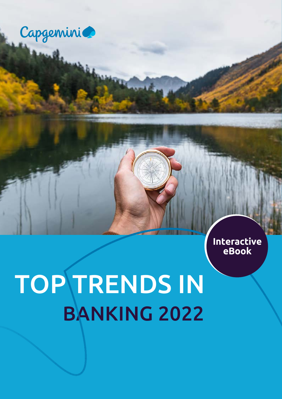

 **Interactive eBook**

# TOP TRENDS IN BANKING 2022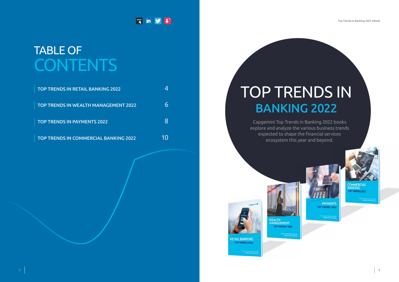### **[www](https://www.capgemini.com/service/top-trends-in-2022/)** in **y**

## TABLE OF **CONTENTS**



| <b>TOP TRENDS IN RETAIL BANKING 2022</b>     |    |
|----------------------------------------------|----|
| <b>TOP TRENDS IN WEALTH MANAGEMENT 2022</b>  |    |
| <b>TOP TRENDS IN PAYMENTS 2022</b>           | X  |
| <b>TOP TRENDS IN COMMERCIAL BANKING 2022</b> | 1Ω |

COMMERCIAL BANKING TOP TRENDS 2022

Capgemini Top Trends in Banking 2022 books explore and analyze the various business trends expected to shape the financial services ecosystem this year and beyond.

# BANKING 2022 TOP TRENDS IN





**TOP TRENDS 2022** 

RETAIL BANKING<br>TOP TRENDS 2022

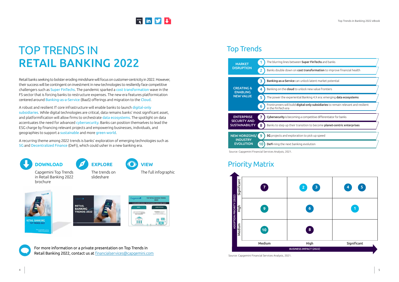### <span id="page-2-0"></span>TOP TRENDS IN RETAIL BANKING 2022

Retail banks seeking to bolster eroding mindshare will focus on customer-centricity in 2022. However, their success will be contingent on investment in new technologies to resiliently face competitive challengers such as Super FinTechs. The pandemic sparked a cost transformation wave in the FS sector that is forcing banks to restructure expenses. The new era features platformication centered around Banking-as-a-Service (BaaS) offerings and migration to the Cloud.

A robust and resilient IT core infrastructure will enable banks to launch digital-only subsidiaries. While digital technologies are critical, data remains banks' most significant asset, and platformification will allow firms to orchestrate data ecosystems. The spotlight on data accentuates the need for advanced cybersecurity. Banks can position themselves to lead the ESG charge by financing relevant projects and empowering businesses, individuals, and geographies to support a sustainable and more green world.

A recurring theme among 2022 trends is banks' exploration of emerging technologies such as 5G and Decentralized Finance (DeFi), which could usher in a new banking era.



For more information or a private presentation on Top Trends in Retail Banking 2022, contact us at [financialservices@capgemini.com](mailto:financialservices%40capgemini.com?subject=)

The trends on slideshare











in Retail Banking 2022

brochure



Source: Capgemini Financial Services Analysis, 2021.



Source: Capgemini Financial Services Analysis, 2021.

#### Top Trends

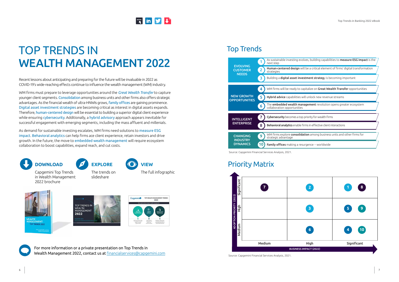### **[www](https://www.capgemini.com/service/top-trends-in-2022/).in 9 4**

### <span id="page-3-0"></span>TOP TRENDS IN WEALTH MANAGEMENT 2022

Recent lessons about anticipating and preparing for the future will be invaluable in 2022 as COVID-19's wide-reaching effects continue to influence the wealth management (WM) industry.

WM firms must prepare to leverage opportunities around the *Great Wealth Transfer* to capture younger client segments. Consolidation among business units and other firms also offers strategic advantages. As the financial wealth of ultra-HNWIs grows, family offices are gaining prominence. Digital asset investment strategies are becoming critical as interest in digital assets expands. Therefore, human-centered design will be essential to building a superior digital client experience while ensuring cybersecurity. Additionally, a hybrid advisory approach appears inevitable for successful engagement with emerging segments, including the mass affluent and millenials.

As demand for sustainable investing escalates, WM firms need solutions to measure ESG impact. Behavioral analytics can help firms ace client experience, retain investors and drive growth. In the future, the move to embedded wealth management will require ecosystem collaboration to boost capabilities, expand reach, and cut costs.

For more information or a private presentation on Top Trends in Wealth Management 2022, contact us at [financialservices@capgemini.com](mailto:financialservices%40capgemini.com?subject=)











Source: Capgemini Financial Services Analysis, 2021.



Source: Capgemini Financial Services Analysis, 2021.

### Top Trends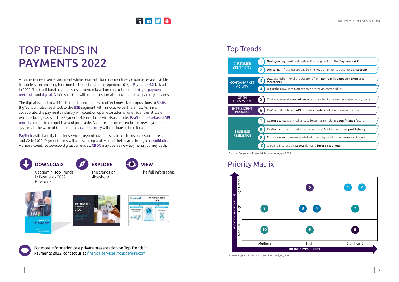### <span id="page-4-0"></span>TOP TRENDS IN PAYMENTS 2022

An experience-driven environment where payments for consumer lifestyle purchases are invisible, frictionless, and enabling functions that boost customer experience (CX) – Payments 4.X kicks off in 2022. The traditional payments instrument mix will morph to include next-gen payment methods, and digital ID infrastructure will become essential as payments transparency expands.

The digital evolution will further enable non-banks to offer innovative propositions to SMBs. BigTechs will also reach out to the B2B segment with innovative partnerships. As firms collaborate, the payments industry will count on open ecosystems for efficiencies at scale while reducing costs. In the Payments 4.X era, firms will also consider PaaS and data-based API models to remain competitive and profitable. As more consumers embrace new payments systems in the wake of the pandemic, cybersecurity will continue to be critical.

PayTechs will diversify to offer services beyond payments as banks focus on customer reach and CX in 2022. Payment firms will also scale up and expand their reach through consolidation. As more countries develop digital currencies, CBDC may open a new payments journey path.

For more information or a private presentation on Top Trends in Payments 2022, contact us at [financialservices@capgemini.com](mailto:financialservices%40capgemini.com?subject=)











Source: Capgemini Financial Services Analysis, 2021.



Source: Capgemini Financial Services Analysis, 2021.

### Top Trends

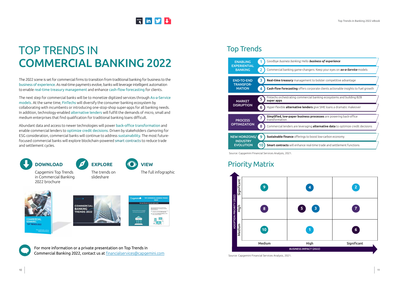### **[www](https://www.capgemini.com/service/top-trends-in-2022/).in 9 4**

### <span id="page-5-0"></span>TOP TRENDS IN COMMERCIAL BANKING 2022

The 2022 scene is set for commercial firms to transition from traditional banking for business to the business of experience. As real-time payments evolve, banks will leverage intelligent automation to enable real-time treasury management and enhance cash-flow forecasting for clients.

The next step for commercial banks will be to monetize digitized services through As-a-Service models. At the same time, FinTechs will diversify the consumer banking ecosystem by collaborating with incumbents or introducing one-stop-shop super-apps for all banking needs. In addition, technology-enabled alternative lenders will fulfill the demands of micro, small and medium enterprises that find qualification for traditional banking loans difficult.

Abundant data and access to newer technologies will power back-office transformation and enable commercial lenders to optimize credit decisions. Driven by stakeholders clamoring for ESG consideration, commercial banks will continue to address sustainability. The most futurefocused commercial banks will explore blockchain-powered smart contracts to reduce trade and settlement cycles.

For more information or a private presentation on Top Trends in Commercial Banking 2022, contact us at [financialservices@capgemini.com](mailto:financialservices%40capgemini.com?subject=)











Source: Capgemini Financial Services Analysis, 2021.



Source: Capgemini Financial Services Analysis, 2021.

### Top Trends